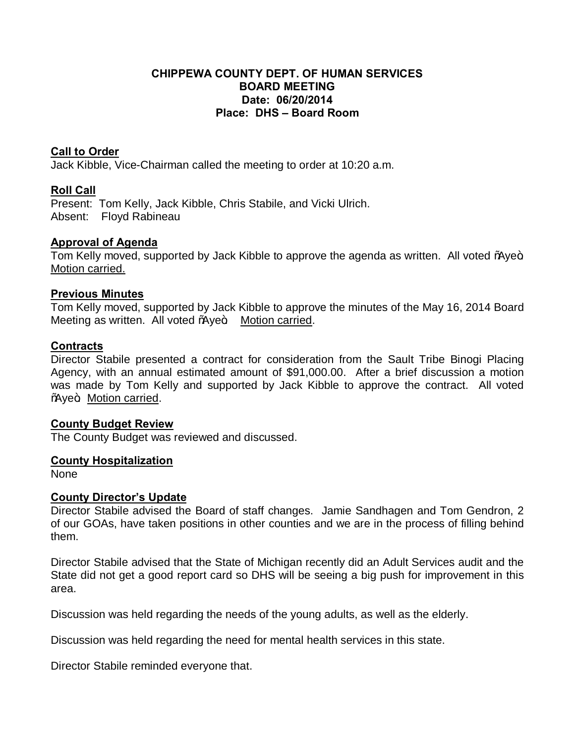# **CHIPPEWA COUNTY DEPT. OF HUMAN SERVICES BOARD MEETING Date: 06/20/2014 Place: DHS – Board Room**

# **Call to Order**

Jack Kibble, Vice-Chairman called the meeting to order at 10:20 a.m.

# **Roll Call**

Present: Tom Kelly, Jack Kibble, Chris Stabile, and Vicki Ulrich. Absent: Floyd Rabineau

# **Approval of Agenda**

Tom Kelly moved, supported by Jack Kibble to approve the agenda as written. All voted % we+ Motion carried.

#### **Previous Minutes**

Tom Kelly moved, supported by Jack Kibble to approve the minutes of the May 16, 2014 Board Meeting as written. All voted % ye+. Motion carried.

#### **Contracts**

Director Stabile presented a contract for consideration from the Sault Tribe Binogi Placing Agency, with an annual estimated amount of \$91,000.00. After a brief discussion a motion was made by Tom Kelly and supported by Jack Kibble to approve the contract. All voted **We+.** Motion carried.

#### **County Budget Review**

The County Budget was reviewed and discussed.

#### **County Hospitalization**

None

#### **County Director's Update**

Director Stabile advised the Board of staff changes. Jamie Sandhagen and Tom Gendron, 2 of our GOAs, have taken positions in other counties and we are in the process of filling behind them.

Director Stabile advised that the State of Michigan recently did an Adult Services audit and the State did not get a good report card so DHS will be seeing a big push for improvement in this area.

Discussion was held regarding the needs of the young adults, as well as the elderly.

Discussion was held regarding the need for mental health services in this state.

Director Stabile reminded everyone that.